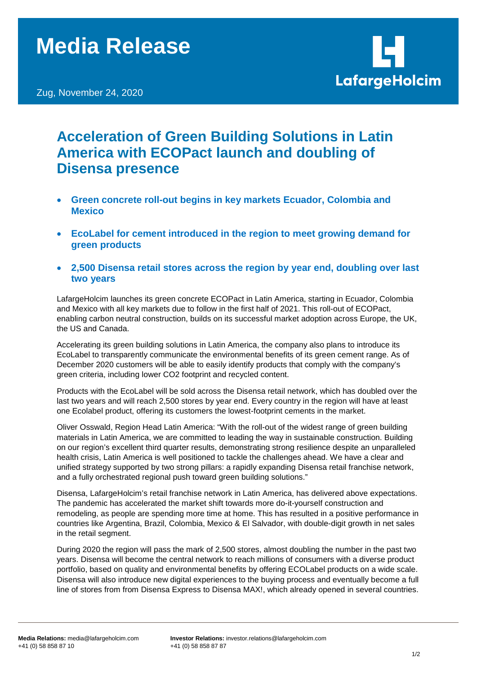Zug, November 24, 2020



## **Acceleration of Green Building Solutions in Latin America with ECOPact launch and doubling of Disensa presence**

- **Green concrete roll-out begins in key markets Ecuador, Colombia and Mexico**
- **EcoLabel for cement introduced in the region to meet growing demand for green products**
- **2,500 Disensa retail stores across the region by year end, doubling over last two years**

LafargeHolcim launches its green concrete ECOPact in Latin America, starting in Ecuador, Colombia and Mexico with all key markets due to follow in the first half of 2021. This roll-out of ECOPact, enabling carbon neutral construction, builds on its successful market adoption across Europe, the UK, the US and Canada.

Accelerating its green building solutions in Latin America, the company also plans to introduce its EcoLabel to transparently communicate the environmental benefits of its green cement range. As of December 2020 customers will be able to easily identify products that comply with the company's green criteria, including lower CO2 footprint and recycled content.

Products with the EcoLabel will be sold across the Disensa retail network, which has doubled over the last two years and will reach 2,500 stores by year end. Every country in the region will have at least one Ecolabel product, offering its customers the lowest-footprint cements in the market.

Oliver Osswald, Region Head Latin America: "With the roll-out of the widest range of green building materials in Latin America, we are committed to leading the way in sustainable construction. Building on our region's excellent third quarter results, demonstrating strong resilience despite an unparalleled health crisis, Latin America is well positioned to tackle the challenges ahead. We have a clear and unified strategy supported by two strong pillars: a rapidly expanding Disensa retail franchise network, and a fully orchestrated regional push toward green building solutions."

Disensa, LafargeHolcim's retail franchise network in Latin America, has delivered above expectations. The pandemic has accelerated the market shift towards more do-it-yourself construction and remodeling, as people are spending more time at home. This has resulted in a positive performance in countries like Argentina, Brazil, Colombia, Mexico & El Salvador, with double-digit growth in net sales in the retail segment.

During 2020 the region will pass the mark of 2,500 stores, almost doubling the number in the past two years. Disensa will become the central network to reach millions of consumers with a diverse product portfolio, based on quality and environmental benefits by offering ECOLabel products on a wide scale. Disensa will also introduce new digital experiences to the buying process and eventually become a full line of stores from from Disensa Express to Disensa MAX!, which already opened in several countries.